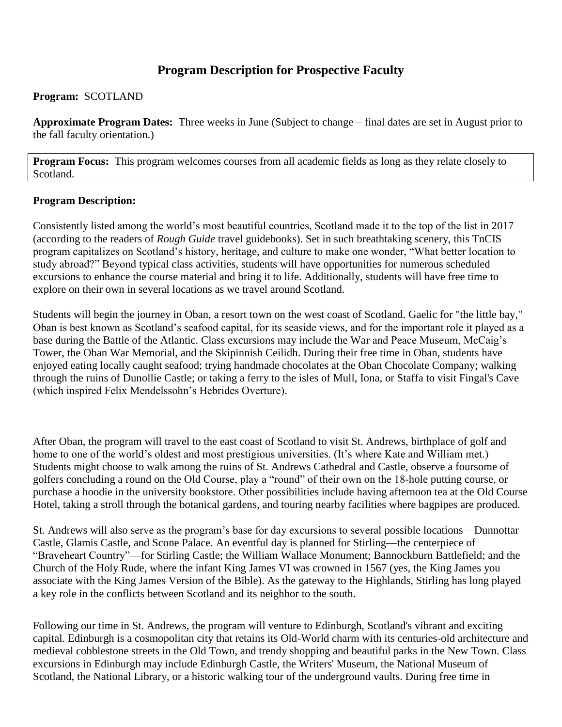# **Program Description for Prospective Faculty**

# **Program:** SCOTLAND

**Approximate Program Dates:** Three weeks in June (Subject to change – final dates are set in August prior to the fall faculty orientation.)

**Program Focus:** This program welcomes courses from all academic fields as long as they relate closely to Scotland.

# **Program Description:**

Consistently listed among the world's most beautiful countries, Scotland made it to the top of the list in 2017 (according to the readers of *Rough Guide* travel guidebooks). Set in such breathtaking scenery, this TnCIS program capitalizes on Scotland's history, heritage, and culture to make one wonder, "What better location to study abroad?" Beyond typical class activities, students will have opportunities for numerous scheduled excursions to enhance the course material and bring it to life. Additionally, students will have free time to explore on their own in several locations as we travel around Scotland.

Students will begin the journey in Oban, a resort town on the west coast of Scotland. Gaelic for "the little bay," Oban is best known as Scotland's seafood capital, for its seaside views, and for the important role it played as a base during the Battle of the Atlantic. Class excursions may include the War and Peace Museum, McCaig's Tower, the Oban War Memorial, and the Skipinnish Ceilidh. During their free time in Oban, students have enjoyed eating locally caught seafood; trying handmade chocolates at the Oban Chocolate Company; walking through the ruins of Dunollie Castle; or taking a ferry to the isles of Mull, Iona, or Staffa to visit Fingal's Cave (which inspired Felix Mendelssohn's Hebrides Overture).

After Oban, the program will travel to the east coast of Scotland to visit St. Andrews, birthplace of golf and home to one of the world's oldest and most prestigious universities. (It's where Kate and William met.) Students might choose to walk among the ruins of St. Andrews Cathedral and Castle, observe a foursome of golfers concluding a round on the Old Course, play a "round" of their own on the 18-hole putting course, or purchase a hoodie in the university bookstore. Other possibilities include having afternoon tea at the Old Course Hotel, taking a stroll through the botanical gardens, and touring nearby facilities where bagpipes are produced.

St. Andrews will also serve as the program's base for day excursions to several possible locations—Dunnottar Castle, Glamis Castle, and Scone Palace. An eventful day is planned for Stirling—the centerpiece of "Braveheart Country"—for Stirling Castle; the William Wallace Monument; Bannockburn Battlefield; and the Church of the Holy Rude, where the infant King James VI was crowned in 1567 (yes, the King James you associate with the King James Version of the Bible). As the gateway to the Highlands, Stirling has long played a key role in the conflicts between Scotland and its neighbor to the south.

Following our time in St. Andrews, the program will venture to Edinburgh, Scotland's vibrant and exciting capital. Edinburgh is a cosmopolitan city that retains its Old-World charm with its centuries-old architecture and medieval cobblestone streets in the Old Town, and trendy shopping and beautiful parks in the New Town. Class excursions in Edinburgh may include Edinburgh Castle, the Writers' Museum, the National Museum of Scotland, the National Library, or a historic walking tour of the underground vaults. During free time in